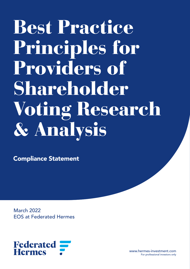# Best Practice Principles for Providers of Shareholder Voting Research & Analysis

Compliance Statement

March 2022 EOS at Federated Hermes



www.hermes-investment.com For professional investors only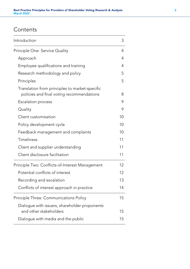# **Contents**

| Introduction                                                                                | 3  |
|---------------------------------------------------------------------------------------------|----|
| Principle One: Service Quality                                                              | 4  |
| Approach                                                                                    | 4  |
| Employee qualifications and training                                                        | 4  |
| Research methodology and policy                                                             | 5  |
| Principles                                                                                  | 5  |
| Translation from principles to market-specific<br>policies and final voting recommendations | 8  |
| <b>Escalation process</b>                                                                   | 9  |
| Quality                                                                                     | 9  |
| Client customisation                                                                        | 10 |
| Policy development cycle                                                                    | 10 |
| Feedback management and complaints                                                          | 10 |
| Timeliness                                                                                  | 11 |
| Client and supplier understanding                                                           | 11 |
| Client disclosure facilitation                                                              | 11 |
| Principle Two: Conflicts-of-Interest Management                                             | 12 |
| Potential conflicts of interest                                                             | 12 |
| Recording and escalation                                                                    | 13 |
| Conflicts of interest approach in practice                                                  | 14 |
| Principle Three: Communications Policy                                                      | 15 |
| Dialogue with issuers, shareholder proponents                                               |    |
| and other stakeholders                                                                      | 15 |
| Dialogue with media and the public                                                          | 15 |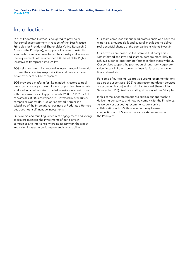# Introduction

EOS at Federated Hermes is delighted to provide its first compliance statement in respect of the Best Practice Principles for Providers of Shareholder Voting Research & Analysis (the Principles), in support of its aims to establish standards for service providers in the industry and in line with the requirements of the amended EU Shareholder Rights Directive as transposed into UK law.

EOS helps long-term institutional investors around the world to meet their fiduciary responsibilities and become more active owners of public companies.

EOS provides a platform for like-minded investors to pool resources, creating a powerful force for positive change. We work on behalf of long-term global investors who entrust us with the stewardship of approximately £938bn / \$1.2tn / €1tn of assets (as at 30 September 2020) invested in over 18,000 companies worldwide. EOS at Federated Hermes is a subsidiary of the international business of Federated Hermes but does not itself manage investments.

Our diverse and multilingual team of engagement and voting specialists monitors the investments of our clients in companies and intervenes where necessary with the aim of improving long-term performance and sustainability.

Our team comprises experienced professionals who have the expertise, language skills and cultural knowledge to deliver real beneficial change at the companies its clients invest in.

Our activities are based on the premise that companies with informed and involved shareholders are more likely to achieve superior long-term performance than those without. Our services support the promotion of long-term corporate value, instead of the short-term financial focus common in financial markets.

For some of our clients, we provide voting recommendations as part of our services. EOS' voting recommendation services are provided in conjunction with Institutional Shareholder Services Inc. (ISS), itself a founding signatory of the Principles.

In this compliance statement, we explain our approach to delivering our service and how we comply with the Principles. As we deliver our voting recommendation service in collaboration with ISS, this document may be read in conjunction with ISS' own compliance statement under the Principles.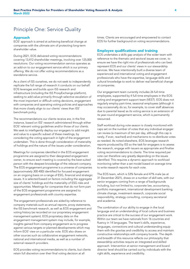# Principle One: Service Quality

## Approach

EOS' approach is aimed at achieving beneficial change at companies with the ultimate aim of protecting long-term shareholder value.

During 2021, EOS delivered voting recommendations covering 13,412 shareholder meetings, involving over 125,000 resolutions. Our voting recommendation service operates as an add-on to our engagement service which is our primary offering. We do not offer voting recommendations as a standalone service.

As a client of ISS ourselves, we do not seek to independently replicate the full range of research it conducts on our behalf. EOS leverages and builds upon ISS research and infrastructure (including the ISS ProxyExchange platform), seeking to add value primarily through selective escalation of the most important or difficult voting decisions, engagement with companies and operating voting policies and approaches that more closely align to our clients' views than ISS' benchmark policy.

The recommendations our clients receive are, in the first instance, based on ISS' research administered through either EOS' relevant voting guidelines and/or those of our clients. We seek to intelligently deploy our engagers to add insight and value to a specific subset of these meetings, by considering the voting approach in light of the engagement undertaken. This is done through consideration of materiality of holdings and the nature of the issues under consideration.

Meetings for companies identified in the EOS engagement programme are assigned to their designated engagement owner, to ensure each meeting is covered by the best-suited person with the deepest knowledge of the relevant company. The EOS engagement programme is a universe of companies (approximately 300-400) identified for focused engagement on an ongoing basis on a range of ESG, financial and strategic issues. It is selected based on factors including the aggregate size of clients' holdings and the materiality of ESG risks and opportunities. Meetings for companies that do not form part of the EOS engagement programme are assigned to engagement professionals with country expertise.

The engagement professionals are aided by reference to company materials such as annual reports, proxy statements, the ISS benchmark research, as well as EOS engagement and voting history (as recorded on our proprietary engagement management system). EOS proprietary data on the engagement management system may include, for example, insights gained from company engagement as to progress against various targets or planned developments which may inform EOS' view on a particular vote. EOS also draws on other sources such as collaborative engagement networks, national and international media, as well as a number of external research providers.

EOS provides voting recommendations to clients, but clients retain full discretion over their final voting decision at all

times. Clients are encouraged and empowered to contact EOS for further background on voting recommendations.

## Employee qualifications and training

EOS undertakes a skills gap analysis of the wider team with reference to the thematic and sectoral issues we cover, to ensure we have the right mix of professionals who can best represent EOS and our clients' views in our stewardship services. We have intentionally built a diverse team of experienced and international voting and engagement professionals who have the expertise, language skills and cultural knowledge to work to deliver real beneficial change at companies.

Our engagement team currently includes 26 full-time employees, supported by 4 full-time employees in the EOS voting and engagement support team (VEST). EOS does not regularly employ part-time, seasonal employees (although it may occasionally do so, for example, to cover staff absences due to parental leave) as its voting service is an extension of its year-round engagement service, which is permanently resourced.

Staff workload during vote season is closely monitored with caps set on the number of votes that any individual engager can review (a maximum of ten per day, although this cap is rarely, if ever, reached) and mechanisms to re-distribute votes as needed. As noted elsewhere, EOS leverages research reports produced by ISS so the task for engagers is to assess the research, engage with issuers as appropriate and finalise voting recommendations to clients. The time required per vote can therefore vary greatly depending on the issues identified. This requires a dynamic approach to workload monitoring rather than a set model based on average time to write research reports for each vote.

The EOS team, which is 53% female and 47% male (as at 31 December 2021), draws on a number of skill sets, with our senior engagers coming from a range of backgrounds including, but not limited to, corporate law, accountancy, portfolio management, international development banking, climate change, investment research, corporate social responsibility, strategy consulting, company secretarial and academia.

The combination of our ability to engage in the local language and an understanding of local culture and business practice are critical to the success of our engagement work. Within our team we have nationals from 16 countries and fluency in 14 languages. The team's skills, experience, languages, connections and cultural understanding equip them with the gravitas and credibility to access and maintain constructive relationships with company boards. The depth and breadth of this resource reflects our philosophy that stewardship activities require an integrated and skilled approach. Intervention at senior management and board director level should be carried out by individuals with the right skills, experience and credibility.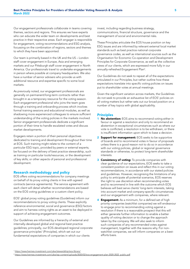Our engagement professionals collaborate in teams covering themes, sectors and regions. This ensures we have experts who can educate the wider team on developments and best practice in their respective areas. Each engager is responsible for engagement, voting recommendations and ESG analysis, focussing on the combination of regions, sectors and themes to which they have been appointed.

Our team is primarily based in the UK and the US – London staff cover engagement in Europe, Asia and emerging markets and our Pittsburgh staff cover engagement in North America. Our professionals travel to undertake engagements in person where possible at company headquarters. We also have a number of senior advisers who provide us with additional resource and expertise specific to some local markets.

As previously noted, our engagement professionals are generally on permanent/long-term contracts rather than brought in as a temporary resource for the voting season. Each engagement professional who joins the team goes through a training and onboarding process which involves formal training sessions and educational modules, as well as shadowing more experienced colleagues to ensure sufficient understanding of the voting policies in the markets involved. Senior engagement professionals dedicate a significant portion of their time to handle escalated votes and discuss market developments.

Engagers retain a portion of their personal objectives dedicated to training and development throughout their time at EOS. Such training might relate to the content of a particular ESG topic, provided by peers or external experts; be focused on the delivery of best practice stewardship, such as training on particular tools/resources, or the development of key skills; or other aspects of personal and professional development.

## Research methodology and policy

EOS offers voting recommendations for company meetings on behalf of its proxy voting clients in line with agreed contracts (service agreements). The service agreement with each client will detail whether recommendations are based on the EOS voting guidelines or a custom client policy.

EOS' global proxy voting guidelines (Guidelines) inform our recommendations to proxy voting clients. These explicitly reference environmental, social and governance (ESG) factors and aim to harness voting rights as an asset to be deployed in support of achieving engagement outcomes.

Our Guidelines are informed by a hierarchy of external and internally-developed global and regional best practice guidelines; principally, our EOS-developed regional corporate governance principles1 (Principles), which set out our fundamental expectations of companies in which our clients

invest, including regarding business strategy, communications, financial structure, governance and the management of social and environmental risks.

These Principles articulate the EOS house position on key ESG issues and are informed by relevant external local market standards such as best practice national corporate governance codes, as well as international sources such as the Organisation for Economic Co-operation and Development Principles for Corporate Governance, as well as the collective views of our clients, which are expressed more fully in our annually-refreshed Engagement Plan2 .

Our Guidelines do not seek to repeat all of the expectations articulated in our Principles, but rather outline how these expectations translate into specific voting policies on issues put to shareholder votes at annual meetings.

Given the significant variation across markets, the Guidelines do not seek to provide an exhaustive list of EOS' policies on all voting matters but rather sets out our broad position on a number of key topics with global applicability.

## Principles

- **1 No abstention:** EOS aims to recommend voting either in favour or against a resolution and only to recommend an abstention in exceptional circumstances such as where our vote is conflicted, a resolution is to be withdrawn, or there is insufficient information upon which to base a decision.
- 2 Support for management: EOS seeks to be supportive of boards and to recommend votes in favour of proposals unless there is a good reason not to do so in accordance with our voting policies, global or regional governance standards or otherwise, to protect long-term shareholder interests.
- **3 Consistency of voting:** To provide companies with clear guidance of our expectations, EOS seeks to take a consistent position on issues and reflect this in our voting recommendations, in accordance with our stated policies and guidelines. However, recognising the limitations of any policy to anticipate all potential scenarios, EOS reserves the right to use discretion when recommending votes and to recommend in line with the outcome which EOS believes will best serve clients' long-term interests, taking into account market and company-specific circumstances and our engagement with companies, where relevant.
- **4 Engagement:** As a minimum, for a defined set of high priority companies (watchlist companies) we will endeavour to engage prior to recommending voting against a resolution if there is a reasonable prospect that this will either generate further information to enable a better quality of voting decision or to change the approach taken by the company. We will also seek to inform such companies of any recommended votes against management, together with the reasons why. For nonwatchlist companies, we will inform companies on a bestefforts basis.

<sup>1</sup> <https://www.hermes-investment.com/ukw/stewardship/eos-library/>

<sup>2</sup> [https://www.hermes-investment.com/ukw/wp-content/uploads/2020/02/eos-engagement-plan-2020-2022\\_public.pdf](https://www.hermes-investment.com/ukw/wp-content/uploads/2020/02/eos-engagement-plan-2020-2022_public.pdf)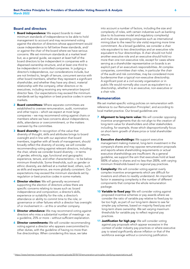## Board and directors

- **1 Board independence:** We expect boards to meet minimum standards of independence to be able to hold management to account and may recommend voting against the election of directors whose appointment would cause independence to fall below these standards, and/ or against the chair of the board where we have serious concerns. We set minimum standards at a market level but, as a general guide, we expect at least half of the board directors to be independent in companies with a dispersed ownership structure, and at least one third to be independent in controlled companies. In judging a director's independence, our considerations include, but are not limited to, length of tenure, concurrent service with other board members, whether they represent a significant shareholder, and whether they have any direct, material relationship with the company, other directors or its executives, including receiving any remuneration beyond director fees. Our expectations may exceed the minimum standards set by regulation or best practice codes in some markets.
- 2 Board committees: Where separate committees are established to oversee remuneration, audit, nomination and other topics – which we expect at most large companies – we may recommend voting against chairs or members where we have concerns about independence, skills, attendance or overcommitment, or the matters overseen by the committee.
- **3 Board diversity:** In recognition of the value that diversity of thought, skills and attributes brings to board oversight and in line with our aspiration that board members, together with all levels of management, should broadly reflect the diversity of society, we will consider recommending voting against relevant directors, including the chair, where we consider board diversity – in terms of gender, ethnicity, age, functional and geographic experience, tenure, and other characteristics – to be below minimum thresholds. Some thresholds, such as gender or ethnic diversity, are defined at a market level; others, such as skills and experience, are more globally consistent. Our expectations may exceed the minimum standards set by regulation or best practice codes in some markets.
- 4 Director election: We will generally recommend supporting the election of directors unless there are specific concerns relating to issues such as: board independence and composition; a director's skills, experience or suitability for the role; a director's attendance or ability to commit time to the role; or governance or other failures which a director has oversight of or involvement in – at this or another company.
- **5 Director attendance:** We may recommend voting against directors who miss a substantial number of meetings – as a guideline, 25% or more – without sufficient explanation.
- **6 Director commitments:** We will consider recommending voting against a director who appears overcommitted to other duties, with the guideline of having no more than five directorships. When considering this issue, we take

into account a number of factors, including the size and complexity of roles, with certain industries such as banking (due to its business model and regulatory complexity) and multi-site operating companies such as international mining (due to the need for site visits) requiring more time commitment. As a broad guideline, we consider a chair role equivalent to two directorships and an executive role equivalent to four directorships. A chair should not hold another executive role and an executive should hold no more than one non-executive role, except for cases where serving as a shareholder representative on boards is an explicit part of an executive's responsibilities. At complex companies, committee chair roles, in particular the chair of the audit and risk committee, may be considered more burdensome than a typical non-executive directorship. A significant post at a civil society organisation or in public life would normally also count as equivalent to a directorship, whether it is an executive, non-executive or a chair role.

## Remuneration

We set market-specific voting policies on remuneration with reference to our Remuneration Principles<sup>3</sup>, and according to local market practice. Our broad guidelines are:

- 7 Alignment to long-term value: We will consider opposing incentive arrangements that do not align to the creation of long-term value for shareholders and other stakeholders including, for example, those which disproportionally focus on short-term growth of share price or total shareholder returns.
- **8 Executive shareholdings:** We support executive management making material, long-term investment in the company's shares and may oppose remuneration proposals and reports where shareholding requirements or actual executive shareholdings are insufficient. As a general guideline, we support the aim that executives hold at least 500% of salary in shares and no less than 200%, with varying minimum thresholds based on regional pay practices.
- **9 Complexity:** We will consider voting against overly complex incentive arrangements which are difficult for investors and others to readily understand. An important factor in assessing complexity is the number of different components that comprise the whole remuneration package.
- **10 Variable to fixed pay:** We will consider voting against proposed incentive schemes or pay awards where we consider the ratio of variable pay relative to fixed pay to be too high, as part of our long-term desire to see far simpler pay schemes, based on majority fixed pay and long-term share ownership. We set varying maximum thresholds for variable pay to reflect regional pay practices.
- 11 Justification for high pay: We will consider voting against pay proposals which appear excessive in the context of wider industry pay practices or where executive pay is raised significantly above inflation or that of the workforce average without a convincing justification.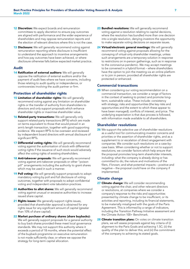- **12 Discretion:** We expect boards and remuneration committees to apply discretion to ensure pay outcomes are aligned with performance and the wider experience of shareholders and may oppose remuneration reports and the election of relevant directors where this is not the case.
- **13 Disclosure:** We will generally recommend voting against remuneration reporting where disclosure is insufficient to understand the approach to incentive arrangements and how pay outcomes have been achieved, or where disclosure otherwise falls below expected market practice.

## Audit

14 Ratification of external auditors: We will generally oppose the ratification of external auditors and/or the payment of audit fees where we have concerns, including those relating to audit quality or independence, or controversies involving the audit partner or firm.

## Protection of shareholder rights

- **15 Limitation of shareholder rights:** We will generally recommend voting against any limitation on shareholder rights or the transfer of authority from shareholders to directors and only support proposals which enhance shareholder rights or maximise shareholder value.
- 16 Related-party transactions: We will generally only support related-party transactions (RPTs) which are made on terms equivalent to those that would prevail in an arm's length transaction, together with good supporting evidence. We expect RPTs to be overseen and reviewed by independent board directors with annual disclosure of significant RPTs.
- 17 Differential voting rights: We will generally recommend voting against the authorisation of stock with differential voting rights if the issuance of such stock would adversely affect the voting rights of existing shareholders.
- 18 Anti-takeover proposals: We will generally recommend voting against anti-takeover proposals or other "poison pill" arrangements including the authority to grant shares which may be used in such a manner.
- 19 Poll voting: We will generally support proposals to adopt mandatory voting by poll and full disclosure of voting outcomes, together with proposals to adopt confidential voting and independent vote tabulation practices.
- 20 Authorities to allot shares: We will generally recommend voting against unusual or excessive authorities to increase issued share capital.
- 21 Rights issues: We generally support rights issues, provided that shareholder approval is obtained for any rights issue for any significant amount of capital (greater than 10% of share capital).
- 22 Market purchase of ordinary shares (share buybacks): We will generally support proposals for a general authority to buy back shares provided these meet local governance standards. We may not support this authority where it exceeds a period of 18 months, where the potential effect of the buyback programme on executive remuneration is not made sufficiently clear, or where we oppose the strategy for long-term capital allocation.
- 23 Bundled resolutions: We will generally recommend voting against a resolution relating to capital decisions, where the resolution has bundled more than one decision into a single resolution, denying investors the opportunity to make separate voting decisions on separate issues.
- 24 Virtual/electronic general meetings: We will generally recommend voting against proposals allowing for the conveying of virtual-only shareholder meetings, unless such arrangements are a temporary solution in response to restrictions on in-person gatherings, such as in response to the coronavirus pandemic. We may accept meetings to be convened in a hybrid format – where shareholders have the option to join the meeting via an online platform or to join in person, provided all shareholder rights are protected or enhanced.

## Commercial transactions

25 When considering our voting recommendation on a commercial transaction, we consider a range of factors in the context of seeking to protect and promote longterm, sustainable value. These include: consistency with strategy; risks and opportunities (the key risks and opportunities and the extent to which these appear to have been managed); conflicts of interest; and price. The underlying expectation is that due process is followed, with information made available to all shareholders.

## Shareholder resolutions

26 We support the selective use of shareholder resolutions as a useful tool for communicating investor concerns and priorities or the assertion of shareholder rights, and as a supplement to or escalation of direct engagement with companies. We consider such resolutions on a case-bycase basis. When considering whether or not to support resolutions, we consider factors which help ensure that the proposal promotes long-term shareholder interests, including: what the company is already doing or has committed to do; the nature and motivations of the filers, if known; and what potential impacts – positive and negative – the proposal could have on the company if implemented.

## Climate change

- 27 Climate change: We will consider recommending voting against the chair, and other relevant directors or resolutions, at companies where we consider a company's response to the risks and opportunities presented by climate change to be insufficient, or its activities and reporting, including its financial statements, to be materially misaligned with the goals of the Paris Agreement. This is informed by a range of indicators, including the Transition Pathway Initiative assessment and the Climate Action 100+ Benchmark.
- 28 Climate transition plans: On votes on climate transition plans, we will assess proposals against key criteria of (i) alignment to the Paris Goals and achieving 1.5C; (ii) the quality of the plan to deliver this; and (iii) the commitment of the company to achieving its stated goals.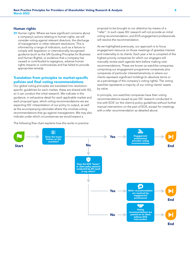## Human rights

29 Human rights: Where we have significant concerns about a company's actions relating to human rights, we will consider voting against relevant directors, the discharge of management or other relevant resolutions. This is informed by a range of indicators, such as a failure to comply with legislation or internationally-recognised guidance (such as the UN Guiding Principles for Business and Human Rights), or evidence that a company has caused or contributed to egregious, adverse human rights impacts or controversies and has failed to provide appropriate remedy.

## Translation from principles to market-specific policies and final voting recommendations

Our global voting principles are translated into resolutionspecific quidelines for each market, these are shared with ISS. so it can conduct the initial research. We indicate in this guidance, in exhaustive detail for each applicable market and each proposal type, which voting recommendations we are expecting ISS' interpretation of our policy to output, as well as the accompanying rationales where this involves voting recommendations that go against management. We may also indicate under which circumstances we would expect a

The following flow chart explains how this works in practice:

proposal to be brought to our attention by means of a "refer". In such cases ISS' research will not provide an initial voting recommendation, and EOS engagement professionals will resolve the recommendation.

As we highlighted previously, our approach is to focus engagement resource on those meetings of greatest interest and materiality to its clients. Each year a list is compiled of the highest priority companies for which our engagers will manually review each agenda item before making vote recommendations. These are known as watchlist companies, comprising our engagement programme companies plus companies of particular interest/sensitivity or where our clients represent significant holdings (in absolute terms or as a percentage of the company's voting rights). The voting watchlist represents a majority of our voting clients' assets by value.

In principle, non-watchlist companies have their voting recommendations issued as per ISS' research conducted in line with EOS' (or the client's) policy guidelines without further manual intervention on the part of EOS, except for meetings with a refer recommendation as detailed above.

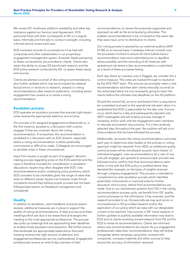We review ISS' timeliness, platform availability and other key indicators against our Service Level Agreement. EOS personnel liaise with their counterparts at ISS on a regular basis, informally and formally to conduct oversight, including a formal service review each year.

EOS maintains records of conversations it has had with companies and other stakeholders in our proprietary engagement management system, Emerald. Notes pertaining to these conversations are provided to clients. Clients also retain the ability to access ISS benchmark research and the EOS policy research conducted by ISS, to assess these inputs and sources.

Clients are alerted via email of the voting recommendations, plus further updates which may be prompted by material factual errors or revisions to research, analysis or voting recommendations after research publication, including where engagement has caused us to revise a voting recommendation.

## Escalation process

EOS operates an escalation process that ensures high-impact votes receive the appropriate attention and scrutiny.

Our process is for assigned engagement professionals to, in the first instance, escalate to a discussion with a senior engager if they are uncertain about the voting recommendation. If unresolved, the recommendation is escalated to a discussion with an EOS director, especially where a voting recommendation is either potentially controversial or difficult to make. Colleagues are encouraged to escalate votes in these circumstances.

Input from issuers is sought as part of engagers' decisionmaking process regarding votes on the EOS watchlist and this input is therefore included for consideration in escalation discussions. Issuers may often disagree with EOS' vote recommendations and/or underlying policy positions, which EOS considers to be inevitable given the range of views that exist on different issues. Issuers can however make formal complaints should they believe proper process has not been followed (see section on Feedback management and complaints).

## **Quality**

In addition to escalation, client feedback and post-season reviews, additional measures are in place to support the quality of voting recommendations. A daily process prioritises meetings which are due to be researched and assigns the meeting to the most appropriate professional. The process also picks up meetings that are approaching their deadlines to enable timely escalation and resolution. We further ensure that workloads are appropriately balanced so that each meeting receives the right amount of attention and engagement professionals are not overburdened. Engagement professionals receive an end-of-day overview of their

recommendations, to review the proposals supported and opposed, as well as the accompanying rationales. This enables recommendations to be corrected on the same day they were input, prior to distribution to clients.

Our voting process is assured by our external auditors (AAF 01/06) on an annual basis. It assesses internal controls over the processes involved to ensure all client ballots have a recommendation instruction submitted prior to deadline where possible, and the recording of all instances with operational risk where a late recommendation is submitted as a result of these processes failing.

Each day where an overdue vote is flagged, we consider this a control measure. The votes are tracked through to resolution by the EOS VEST team. This ensures we promptly make a vote recommendation and then alert clients manually via email as the automated alerts are not necessarily going to reach the clients before the ultimate vote deadlines on the ISS platform.

Should the control fail, an error and breach form is required to be completed and sent to the operational risk team when it is established that EOS is responsible for the late vote. If errors occur which lead to a late and subsequently rejected vote, VEST investigates and will employ process changes if necessary and/or work with the engagement team members to educate and prevent reoccurrence. For a few randomly selected days throughout the year, the auditors will ask us to show evidence that we have followed the process.

Additionally, we review the voting recommendation outcomes each year to determine what tweaks to the policies or voting approach might be required. From 2022, an additional quality control process will be introduced: ex-post 'spot checks' of individual engagers' vote recommendations (at a rate of one vote per engager, per quarter) to ensure proper process was followed and to confirm that final recommendations were either in-line with the EOS policy or justified where they deviated (for example, on the basis of insights received through company engagement). This process is intended to complement ex-ante escalation process which identifies potentially controversial or nuanced votes for further discussion and scrutiny, before final recommendations are made. Due to our downstream position from ISS in the voting recommendation process cycle, we benefit from ISS' quality control processes on the information it has received, and the research provided to us. Occasionally we may spot errors or inconsistencies in ISS-provided research and/or the application of our policy which we raise with our designated contact to be resolved. Inaccuracies in ISS' initial research or further updates to publicly available information may lead to EOS and its clients receiving revised research from ISS and for EOS to revise its recommendations. Clients are informed where new recommendations are issued. As our engagement professionals make their recommendations, they will further triangulate where necessary using their contacts with companies, company materials and other sources to help ensure the accuracy of information received.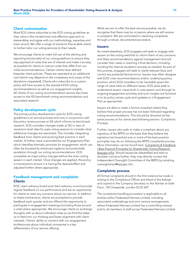## Client customisation

Most EOS clients subscribe to the EOS voting guidelines as they value a like-minded and cost-effective approach to stewardship and agree with our methodology, expertise and track record. We offer a range of solutions that enable clients to further tailor our voting services to their needs.

We encourage clients to make full use of the alerting and reporting functionality of our voting platform to ensure they stay apprised of votes that are of interest and make it as easy as possible for clients to instruct votes that differ from our initial recommendations. Certain clients have defined bespoke client policies. These are operated at an additional cost (which may depend on the complexity and scope of the deviations requested). Clients who subscribe to a custom policy still have access to the standard EOS voting recommendations as well as our engagement insights. All clients of our voting recommendation service also have access to the ISS benchmark voting recommendations and associated research.

## Policy development cycle

The primary policy development cycle for EOS voting guidelines is an annual process and runs in conjunction with the policy review process at ISS which informs its benchmark research. EOS considers changes made at ISS in view of resolution-level data for past voting seasons to consider what additional changes are warranted. This includes integrating feedback from clients and evolving best practice in each market. A further input is provided by our Engagement Plan which identifies thematic priorities for engagement, which can often be boosted by enhanced vigilance and potentially escalation through our voting recommendations. EOS completes its major policy changes before the main voting season in each market. Once changes are applied, the policy is monitored to ensure it is having the desired effect and adjusted further where appropriate.

## Feedback management and complaints Clients

EOS' client advisory board and client advisory council provide regular feedback on our performance and are an opportunity for clients to raise any concerns about our service. In addition to these mechanisms, clients are prompted to provide feedback each quarter and are offered the opportunity to participate in engagement meetings (including those around a vote) where appropriate. We encourage clients to exchange thoughts with us about individual votes as we find this helps us to feed into our thinking and foster alignment with client interests. Clients' ability to connect with our engagement professionals about individual companies is a key differentiator of our service offering.

While we aim to offer the best service possible, we do recognise that there may be occasions where we will receive a complaint. We are committed to resolving complaints through a robust, documented procedure.

#### Issuers

As noted elsewhere, EOS engagers will seek to engage with issuers on the voting watchlist to inform them of any concerns and likely recommendations against management and will consider their views in reaching a final decision, including invoking the internal escalation process as needed. As part of this process, engagers will seek to clarify relevant facts and correct any potential factual errors. Issuers may often disagree with EOS' vote recommendations and/or underlying policy position, which EOS considers to be inevitable given the range of views held on different issues. EOS does seek to understand issuers' views both in vote season and through its ongoing engagement activities and such insights are factored in to its policy review cycle and updates to it Engagement Plan as appropriate.

Issuers are able to make a formal compliant where they believe that proper process has not been followed regarding voting recommendations. This should be directed via the same process as for clients (see following section: Complaints Process).

Further, issuers who wish to make a compliant about any signatory of the BPPG on the basis that they believe the signatory has breached one or more of the best practice principles may do so, following the BPPG complaints process. More information can be found here: [Complaints & Feedback](https://bppgrp.info/the-best-practice-principles-for-shareholder-voting/complaints-feedback/)  [| Best Practice Principles for Shareholder Voting Research](https://bppgrp.info/the-best-practice-principles-for-shareholder-voting/complaints-feedback/)  [\(bppgrp.info\)](https://bppgrp.info/the-best-practice-principles-for-shareholder-voting/complaints-feedback/). Should issuers be dissatisfied and wish to escalate concerns further, they may directly contact the Independent Oversight Committee of the BBPG by emailing oversightchair@bppgrp.info.

## Complaints process

All formal complaints should in the first instance be made in writing to the Compliance Officer and Head of the Adviser and copied to the Company Secretary to the Adviser at Sixth Floor, 150 Cheapside, London EC2V 6ET.

The complaints handling procedure is applicable to all entities within Federated Hermes Limited, including associated undertakings and joint venture arrangements where Federated Hermes Limited has a controlling interest and to all members of staff across Federated Hermes Limited.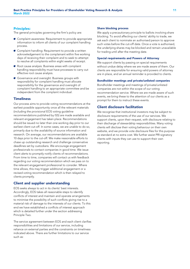## Principles:

The general principles governing the firm's policy are:

- A Complaint awareness: Requirement to provide appropriate information to inform all clients of our complaint handling process.
- A Complaint handling: Requirement to provide a written acknowledgement to the complainant within five working days of receiving their complaint and to seek to attempt to resolve all complaints within eight weeks of receipt.
- A Root cause analysis: Business areas with complaint handling responsibility must have processes to carry out effective root cause analysis.
- A Governance and oversight: Business groups with responsibility for complaint handling must allocate responsibility for the governance and oversight of complaint handling to an appropriate committee and be independent from the complaint individual.

## **Timeliness**

Our process aims to provide voting recommendations at the earliest possible opportunity once all the relevant materials (including the provisional EOS voting guideline recommendations published by ISS) are made available and relevant engagement has taken place. Recommendations should be issued no later than one working day prior to our earliest client cut-off. In some cases, we are unable to do so, primarily due to the availability of source information and research. On average, our recommendations are available 10 days prior to the cut-off. We make reasonable efforts to chase up outstanding research and challenge conservative deadlines set by custodians. We encourage engagement professionals to contact companies in good time. We issue client alerts to promptly notify clients of recommendations. From time to time, companies will contact us with feedback regarding our voting recommendation which we pass on to the relevant engagement professional to consider. Where time allows, this may trigger additional engagement or a revised voting recommendation which is then relayed to clients promptly.

## Client and supplier understanding

EOS seeks always to act in its clients' best interests. Accordingly, EOS takes all reasonable steps to identify conflicts of interest and maintain and operate arrangements to minimise the possibility of such conflicts giving rise to a material risk of damage to the interests of our clients. To this end we have established a conflicts of interest approach which is detailed further under the section addressing Principle Two.

The service agreement between EOS and each client clarifies responsibilities and limitations of our service, including reliance on external parties and the constraints on timeliness indicated above. There are further limitations to our service such as:

#### Share blocking process

We apply a precautionary principle to ballots involving share blocking. To avoid affecting our clients' ability to trade, we ask each client to nominate an authorised person to approve such votes before the cut-off date. Once a vote is authorised, the underlying shares may be blocked and remain unavailable for trading until after the meeting date.

## Special requirements and Powers of Attorney

We support clients by passing on special requirements without undue delay where we are made aware of them. Our clients are responsible for ensuring valid powers of attorney are in place, and an annual reminder is provided to clients.

#### Bondholder meetings and private/unlisted companies

Bondholder meetings and meetings of private/unlisted companies are not within the scope of our voting recommendation service. Where we are made aware of such events, we bring these to the attention of our clients as a prompt for them to instruct these events.

## Client disclosure facilitation

We recognise that institutional investors may be subject to disclosure requirements of the use of our services. We support clients, upon their request, with disclosure relating to their discharge of stewardship responsibilities. Many voting clients will disclose their voting behaviour on their own website, and we provide vote disclosure files for this purpose as standard at no extra cost. We further assist PRI signatory clients with inputs they can use to support their own reporting.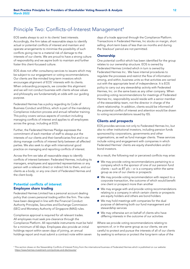# Principle Two: Conflicts-of-Interest Management<sup>4</sup>

EOS seeks always to act in its clients' best interests. Accordingly, the firm takes all reasonable steps to identify actual or potential conflicts of interest and maintain and operate arrangements to minimise the possibility of such conflicts giving rise to a material risk of damage to the interests of our clients. We are proud to have a strong culture of responsibility and we aspire both to maintain and further foster this client-focussed culture.

EOS does not offer consultancy services to issuers which may be subject to our engagement or voting recommendations. Our clients are like-minded long-term investors which encourages alignment of EOS' interests with its clients. When onboarding prospects, we consider this alignment and we will not conduct business with clients whose values and philosophy are fundamentally at odds with our guiding purpose.

Federated Hermes has a policy regarding its Code of Business Conduct and Ethics, which is part of the mandatory Compliance induction process and annual refresher training. This policy covers various aspects of conduct including managing conflicts of interest and applies to all employees across the group, including at EOS.

Further, the Federated Hermes Pledge expresses the commitment of each member of staff to always put the interests of our clients and their beneficiaries first and in so doing manage conflicts of interest fairly between all affected parties. We also seek to align with international good practice on managing and reporting conflicts of interest.

Across the firm we take all reasonable steps to identify conflicts of interest between: Federated Hermes, including its managers, employees and appointed representatives or any person with a relevant direct or indirect link to them, and our clients as a body; or any one client of Federated Hermes and the client body.

## Potential conflicts of interest Employee share trading

Federated Hermes Limited has a personal account dealing policy that covers personal trading within the firm. The rules have been designed in line with the Financial Conduct Authority Principles, Securities and Exchange Commission (SEC) and Monetary Authority of Singapore (MAS) rules.

Compliance approval is required for all relevant trades. All employees must seek pre-clearance through the Compliance Platform. All reportable instruments must be held for a minimum of 60 days. Employees also provide an initial holdings report within seven days of joining, an annual holdings report and must submit a contract note within seven

days of a trade approval through the Compliance Platform. Transactions in Federated Hermes, Inc stocks on margin, short selling, short-term basis of less than six months and during the 'blackout' period are not permitted.

## **Ownership**

One potential conflict which has been identified for the group relates to our ownership structure. EOS is owned by Federated Hermes Limited which in turn is owned by Federated Hermes Inc.. We have internal procedures to regulate the processes and restrict the flow of information among, and within, business units so that activities are carried out with the appropriate level of independence. It is EOS policy to carry out any stewardship activity with Federated Hermes, Inc. on the same basis as any other company. When providing voting recommendations for meetings of Federated Hermes Inc, responsibility would reside with a senior member of the stewardship team, not the director in charge of the client relationship. In addition, clients would be informed of the potential conflict of interest and attention would be drawn to voting recommendations issued by ISS.

## Clients and prospects

EOS provides services not only to Federated Hermes Inc, but also to other institutional investors, including pension funds sponsored by corporations, governments and other organisations, as well as fund manager clients. These services include voting and engagement with companies in which Federated Hermes' clients are equity shareholders and/or bond investors.

As a result, the following real or perceived conflicts may arise:

- A We may provide voting recommendations pertaining to a company which is the sponsor of one of our pension fund clients – such as BT plc – or is a company within the same group as one of our clients or prospects
- A We may provide voting recommendation with respect to a corporate transaction, the outcome of which would benefit one client or prospect more than another
- $\bullet$  We may engage with and provide voting recommendations relating to a company in which certain clients or prospects are equity holders and others are bond holders
- $\bullet$  We may hold meetings with companies for the dual purpose of delivering both our fund management and stewardship services
- A We may otherwise act on behalf of clients who have differing interests in the outcome of our activities

Where we provide voting recommendations relating to sponsors of, or in the same group as our clients, we are careful to protect and pursue the interests of all of our clients by seeking to enhance or protect the long-term value of the

<sup>4</sup> This section draws on the Stewardship Conflicts of Interest Policy from the international business of Federated Hermes which is published on our website: <https://www.hermes-investment.com/policies-and-disclosures/>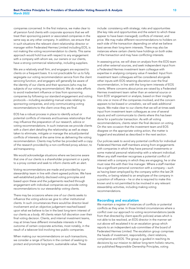companies concerned. In the first instance, we make clear to all pension fund clients with corporate sponsors that we will treat their sponsoring parent or associated companies in the same way as any other company. In addition, we ensure that in such situations the relevant client relationship director or manager within Federated Hermes Limited including EOS, is not making the voting recommendation to clients. This same approach would hold true with respect to any engagement with a company with whom we, our owners or our clients, have a strong commercial relationship, including suppliers.

We are a relatively small firm, and engagers are exposed to clients on a frequent basis. It is not practicable for us to fully segregate our voting recommendation service from the client servicing function, and engagers will generally be aware of the identity of our clients and their sponsors (who may be subjects of our voting recommendation). We do make efforts to avoid inadvertent influence or bias from sponsoring companies by following our standard engagement and voting protocols – including escalating manual votes relating to sponsoring companies, and only communicating voting recommendations to the client once they are final.

EOS has a robust process in place to identify actual or potential conflicts of interests and business relationships that may influence the preparation of our research, advice or voting recommendations. In such instances we provide clients with a client alert detailing the relationship as well as steps taken to eliminate, mitigate or manage the actual/potential conflicts of interests at the same time as delivering the voting recommendation. Clients may further be provided with a copy of the research provided by a non-conflicted proxy advisor, to aid transparency.

We would acknowledge situations where we become aware that one of our clients is a shareholder proponent or a party to a proxy contest and seek to inform clients with an alert.

Voting recommendations are made and provided by our stewardship team in line with client-agreed policies. We have well-established publicly disclosed voting principles and based upon these and the judgements reached through engagement with individual companies we provide voting recommendations to our stewardship voting clients.

There may be occasions where one of our clients seeks to influence the voting advice we give to other institutional clients. In such circumstances there would be director-level involvement and an objective judgement reached based upon what we believe to be in the best long-term interest of our clients as a body. All clients retain full discretion over their final voting decision. Clients, and internal investment teams, may at times have different immediate interests in the outcome of certain corporate activities, most notably, in the result of a takeover bid involving two public companies.

When making our recommendations on such transactions, we consider a range of factors in the context of seeking to protect and promote long-term, sustainable value. These

include: consistency with strategy; risks and opportunities (the key risks and opportunities and the extent to which these appear to have been managed); conflicts of interest; and price. We may make different recommendations to holders on each side of the transaction depending on what we believe best serves their long-term interests. There may also be instances where certain clients have holdings on both sides of the transaction and may have conflicting interests.

In assessing price, we will draw on analysis from the EOS team and other external sources, and seek independent input from a Federated Hermes investment team colleague with expertise in analysing company value if needed. Input from investment team colleagues will be considered alongside other inputs with EOS retaining discretion over the final recommendation, in line with the long-term interests of EOS clients. Where concerns about price are raised by a Federated Hermes investment team rather than an external source or from EOS' engagement or analysis, based on their insights into one or more of the companies involved, and the concern appears to be biased or unrealistic, we will seek additional inputs. We make clear to our clients that we will at times seek input from investment team colleagues as one of several inputs and will communicate to clients where this has been done for a particular transaction. As with all voting recommendations, clients retain the final decision on voting. On the rare occasion that the investment team and EOS disagree on the appropriate voting action, the matter is logged and escalated as described in the next section.

Our policies seek to avoid any potential conflicts for individual Federated Hermes staff members arising from engagements with companies in which they have personal investments or some material personal relationship with a relevant individual. When any staff member recognises a potential conflict of interest with a company in which they are engaging, he or she must raise this with their line manager. Where a staff member has a significant personal connection with a company – such as having been employed by the company within the last 24 months, or being related to an employee of the company in a position of influence – he or she is required to make this known and is not permitted to be involved in any relevant stewardship activities, including making voting recommendations.

#### Recording and escalation

We maintain a register of instances of conflicts or potential conflicts as they arise. In those limited circumstances where a conflict over our approach to voting recommendations (aside from that directed by client-specific policies) arises which is not able to be resolved, an EOS director in the manner set out above will escalated it to an escalation group which reports to an independent sub-committee of the board of Federated Hermes Limited. The escalation group comprises the heads of investment, responsibility, client relations, compliance and EOS. The group is guided in reaching its decisions by our mission to deliver long-term holistic returns, our published Responsible Ownership Principles, voting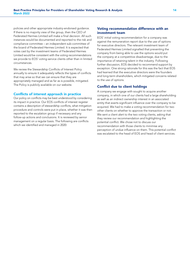policies and other appropriate industry-endorsed guidance. If there is no majority view of the group, then the CEO of Federated Hermes Limited will make a final decision. All such instances would be documented and reported to the risk and compliance committee – an independent sub-committee of the board of Federated Hermes Limited. It is expected that votes cast by the investment teams of Federated Hermes Limited would be consistent with the voting recommendations we provide to EOS' voting service clients other than in limited circumstances.

We review the Stewardship Conflicts of Interest Policy annually to ensure it adequately reflects the types of conflicts that may arise so that we can ensure that they are appropriately managed and as far as is possible, mitigated. The Policy is publicly available on our website.

## Conflicts of interest approach in practice

Our policy on conflicts may be best understood by considering its impact in practice. Our EOS conflicts of interest register contains a description of stewardship conflicts, what mitigation procedure and controls were put in place, whether it was then reported to the escalation group if necessary and any follow-up actions and conclusions. It is reviewed by senior management on a regular basis. The following are conflicts which we identified and managed in 2020:

## Voting recommendation difference with an investment team

EOS' initial voting recommendation for a company was against the remuneration report due to the use of options for executive directors. The relevant investment team of Federated Hermes Limited signalled that preventing the company from being able to use the options would put the company at a competitive disadvantage, due to the importance of retaining talent in the industry. Following further discussion, EOS decided to recommend support by exception. One strong rationale for this was the fact that EOS had learned that the executive directors were the founders and long-term shareholders, which mitigated concerns related to the use of options.

## Conflict due to client holdings

A company we engage with sought to acquire another company, in which one of our clients had a large shareholding as well as an indirect ownership interest in an associated entity that exerts significant influence over the company to be acquired. We had to make a voting recommendation for two other clients on whether to approve the transaction or not. We sent a client alert to the two voting clients, asking that they review our recommendation and highlighting the potential conflict. We chose not to discuss our recommendation with those clients to minimise any perception of undue influence on them. This potential conflict was escalated to the head of EOS and head of client services.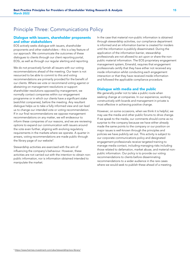# Principle Three: Communications Policy

## Dialogue with issuers, shareholder proponents and other stakeholders

EOS actively seeks dialogue with issuers, shareholder proponents and other stakeholders – this is a key feature of our approach. We communicate the outcomes of these dialogues to clients through our client reporting portal, EOSi, as well as through our regular alerting and reporting.

We do not proactively furnish all issuers with our voting recommendations ahead of the meeting. Our team is not resourced to be able to commit to this and voting recommendations are primarily provided for the benefit of our clients. Where we vote or recommend voting against or abstaining on management resolutions or support shareholder resolutions opposed by management, we normally contact companies within our engagement programme or in which our clients have a significant stake (watchlist companies), before the meeting. Any resultant dialogue helps us to take a fully informed view and can lead us to change our intended vote or voting recommendation. If in our final recommendations we oppose management recommendations on any matter, we will endeavour to inform these companies of our reasons, and we are reviewing options to expand our communication with issuers around the vote even further, aligning with evolving regulatory requirements in the markets where we operate. A quarter in arrears, voting recommendations are made public through the library page of our website<sup>5</sup>.

Stewardship activities are exercised with the aim of influencing the company's behaviour. However, these activities are not carried out with the intention to obtain nonpublic information, nor is information obtained intended to manipulate the market.

In the case that material non-public information is obtained through stewardship activities, our compliance department is informed and an information barrier is created for insiders until the information is publicly disseminated. During the application of the information barrier, stewardship professionals are not allowed to act upon or share the nonpublic material information. The EOS proprietary engagement management system, Emerald, requires that engagement professionals certify that they have either not received any inside information whilst conducting each engagement interaction or that they have received inside information and followed the applicable compliance procedure.

## Dialogue with media and the public

We generally prefer not to take a public route when seeking change at companies. In our experience, working constructively with boards and management in private is most effective in achieving positive change.

However, on some occasions, when we think it is helpful, we may use the media and other public forums to drive change. If we speak to the media, our comments should come as no surprise to the company because we have either already made the same points to the company or our position on major issues is well-known through the principles and policies we have publicly set out. This activity is subject to our corporate communications policy and designated engagement professionals receive targeted training to manage media contact, including managing risks including those related to defamation, market abuse, and material nonpublic information. Our policy is to provide our voting recommendations to clients before disseminating recommendations to a wider audience in the rare cases where we would seek to publish these ahead of a meeting.